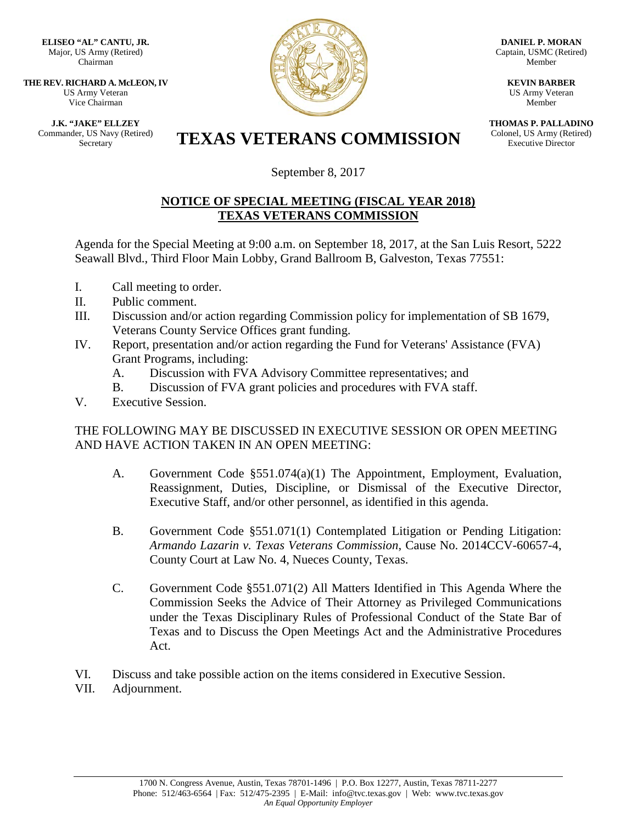**ELISEO "AL" CANTU, JR.** Major, US Army (Retired) Chairman

**THE REV. RICHARD A. McLEON, IV** US Army Veteran Vice Chairman

**J.K. "JAKE" ELLZEY**

Commander, US Navy (Retired)



**DANIEL P. MORAN** Captain, USMC (Retired) Member

> **KEVIN BARBER** US Army Veteran Member

**THOMAS P. PALLADINO** Colonel, US Army (Retired) Executive Director

## Er, US Navy (Retired) **TEXAS VETERANS COMMISSION**

September 8, 2017

## **NOTICE OF SPECIAL MEETING (FISCAL YEAR 2018) TEXAS VETERANS COMMISSION**

Agenda for the Special Meeting at 9:00 a.m. on September 18, 2017, at the San Luis Resort, 5222 Seawall Blvd., Third Floor Main Lobby, Grand Ballroom B, Galveston, Texas 77551:

- I. Call meeting to order.
- II. Public comment.
- III. Discussion and/or action regarding Commission policy for implementation of SB 1679, Veterans County Service Offices grant funding.
- IV. Report, presentation and/or action regarding the Fund for Veterans' Assistance (FVA) Grant Programs, including:
	- A. Discussion with FVA Advisory Committee representatives; and
	- B. Discussion of FVA grant policies and procedures with FVA staff.
- V. Executive Session.

## THE FOLLOWING MAY BE DISCUSSED IN EXECUTIVE SESSION OR OPEN MEETING AND HAVE ACTION TAKEN IN AN OPEN MEETING:

- A. Government Code §551.074(a)(1) The Appointment, Employment, Evaluation, Reassignment, Duties, Discipline, or Dismissal of the Executive Director, Executive Staff, and/or other personnel, as identified in this agenda.
- B. Government Code §551.071(1) Contemplated Litigation or Pending Litigation: *Armando Lazarin v. Texas Veterans Commission*, Cause No. 2014CCV-60657-4, County Court at Law No. 4, Nueces County, Texas.
- C. Government Code §551.071(2) All Matters Identified in This Agenda Where the Commission Seeks the Advice of Their Attorney as Privileged Communications under the Texas Disciplinary Rules of Professional Conduct of the State Bar of Texas and to Discuss the Open Meetings Act and the Administrative Procedures Act.
- VI. Discuss and take possible action on the items considered in Executive Session.
- VII. Adjournment.